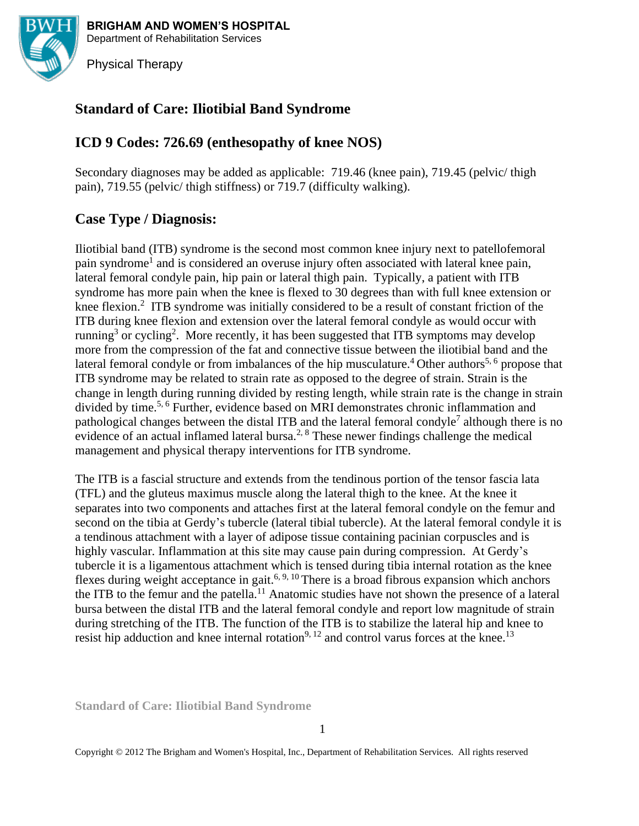

**BRIGHAM AND WOMEN'S HOSPITAL** Department of Rehabilitation Services

Physical Therapy

# **Standard of Care: Iliotibial Band Syndrome**

# **ICD 9 Codes: 726.69 (enthesopathy of knee NOS)**

Secondary diagnoses may be added as applicable: 719.46 (knee pain), 719.45 (pelvic/ thigh pain), 719.55 (pelvic/ thigh stiffness) or 719.7 (difficulty walking).

# **Case Type / Diagnosis:**

Iliotibial band (ITB) syndrome is the second most common knee injury next to patellofemoral pain syndrome<sup>1</sup> and is considered an overuse injury often associated with lateral knee pain, lateral femoral condyle pain, hip pain or lateral thigh pain. Typically, a patient with ITB syndrome has more pain when the knee is flexed to 30 degrees than with full knee extension or knee flexion.<sup>2</sup> ITB syndrome was initially considered to be a result of constant friction of the ITB during knee flexion and extension over the lateral femoral condyle as would occur with running<sup>3</sup> or cycling<sup>2</sup>. More recently, it has been suggested that ITB symptoms may develop more from the compression of the fat and connective tissue between the iliotibial band and the lateral femoral condyle or from imbalances of the hip musculature.<sup>4</sup> Other authors<sup>5, 6</sup> propose that ITB syndrome may be related to strain rate as opposed to the degree of strain. Strain is the change in length during running divided by resting length, while strain rate is the change in strain divided by time.<sup>5, 6</sup> Further, evidence based on MRI demonstrates chronic inflammation and pathological changes between the distal ITB and the lateral femoral condyle<sup>7</sup> although there is no evidence of an actual inflamed lateral bursa.<sup>2, 8</sup> These newer findings challenge the medical management and physical therapy interventions for ITB syndrome.

The ITB is a fascial structure and extends from the tendinous portion of the tensor fascia lata (TFL) and the gluteus maximus muscle along the lateral thigh to the knee. At the knee it separates into two components and attaches first at the lateral femoral condyle on the femur and second on the tibia at Gerdy's tubercle (lateral tibial tubercle). At the lateral femoral condyle it is a tendinous attachment with a layer of adipose tissue containing pacinian corpuscles and is highly vascular. Inflammation at this site may cause pain during compression. At Gerdy's tubercle it is a ligamentous attachment which is tensed during tibia internal rotation as the knee flexes during weight acceptance in gait.<sup>6, 9, 10</sup> There is a broad fibrous expansion which anchors the ITB to the femur and the patella.<sup>11</sup> Anatomic studies have not shown the presence of a lateral bursa between the distal ITB and the lateral femoral condyle and report low magnitude of strain during stretching of the ITB. The function of the ITB is to stabilize the lateral hip and knee to resist hip adduction and knee internal rotation<sup>9, 12</sup> and control varus forces at the knee.<sup>13</sup>

**Standard of Care: Iliotibial Band Syndrome**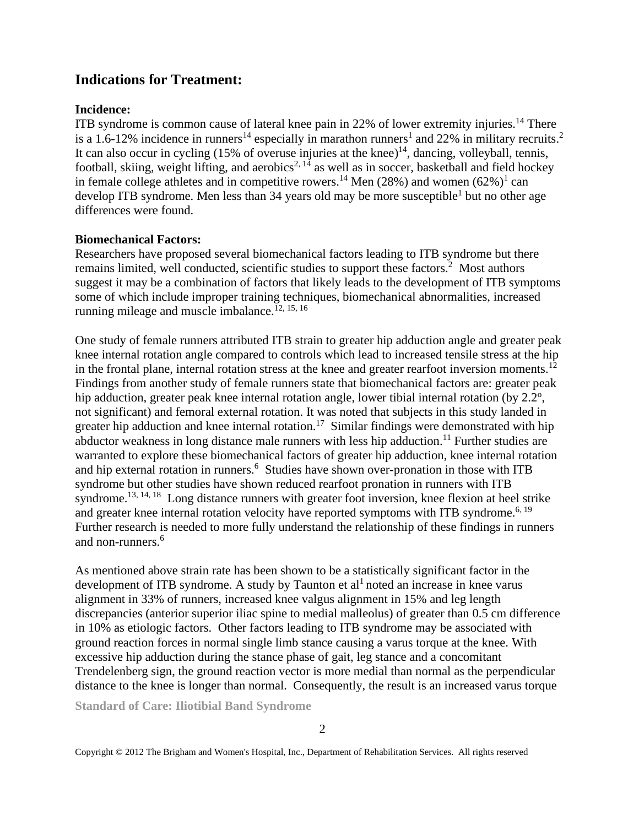## **Indications for Treatment:**

#### **Incidence:**

ITB syndrome is common cause of lateral knee pain in 22% of lower extremity injuries.<sup>14</sup> There is a 1.6-12% incidence in runners<sup>14</sup> especially in marathon runners<sup>1</sup> and 22% in military recruits.<sup>2</sup> It can also occur in cycling  $(15\%$  of overuse injuries at the knee)<sup>14</sup>, dancing, volleyball, tennis, football, skiing, weight lifting, and aerobics<sup>2, 14</sup> as well as in soccer, basketball and field hockey in female college athletes and in competitive rowers.<sup>14</sup> Men (28%) and women  $(62%)^1$  can develop ITB syndrome. Men less than 34 years old may be more susceptible<sup>1</sup> but no other age differences were found.

### **Biomechanical Factors:**

Researchers have proposed several biomechanical factors leading to ITB syndrome but there remains limited, well conducted, scientific studies to support these factors.<sup>2</sup> Most authors suggest it may be a combination of factors that likely leads to the development of ITB symptoms some of which include improper training techniques, biomechanical abnormalities, increased running mileage and muscle imbalance.<sup> $12, 15, 16$ </sup>

One study of female runners attributed ITB strain to greater hip adduction angle and greater peak knee internal rotation angle compared to controls which lead to increased tensile stress at the hip in the frontal plane, internal rotation stress at the knee and greater rearfoot inversion moments.<sup>12</sup> Findings from another study of female runners state that biomechanical factors are: greater peak hip adduction, greater peak knee internal rotation angle, lower tibial internal rotation (by  $2.2^{\circ}$ , not significant) and femoral external rotation. It was noted that subjects in this study landed in greater hip adduction and knee internal rotation.<sup>17</sup> Similar findings were demonstrated with hip abductor weakness in long distance male runners with less hip adduction.<sup>11</sup> Further studies are warranted to explore these biomechanical factors of greater hip adduction, knee internal rotation and hip external rotation in runners. 6 Studies have shown over-pronation in those with ITB syndrome but other studies have shown reduced rearfoot pronation in runners with ITB syndrome.<sup>13, 14, 18</sup> Long distance runners with greater foot inversion, knee flexion at heel strike and greater knee internal rotation velocity have reported symptoms with ITB syndrome.<sup>6, 19</sup> Further research is needed to more fully understand the relationship of these findings in runners and non-runners. 6

As mentioned above strain rate has been shown to be a statistically significant factor in the development of ITB syndrome. A study by Taunton et  $al<sup>1</sup>$  noted an increase in knee varus alignment in 33% of runners, increased knee valgus alignment in 15% and leg length discrepancies (anterior superior iliac spine to medial malleolus) of greater than 0.5 cm difference in 10% as etiologic factors. Other factors leading to ITB syndrome may be associated with ground reaction forces in normal single limb stance causing a varus torque at the knee. With excessive hip adduction during the stance phase of gait, leg stance and a concomitant Trendelenberg sign, the ground reaction vector is more medial than normal as the perpendicular distance to the knee is longer than normal. Consequently, the result is an increased varus torque

**Standard of Care: Iliotibial Band Syndrome**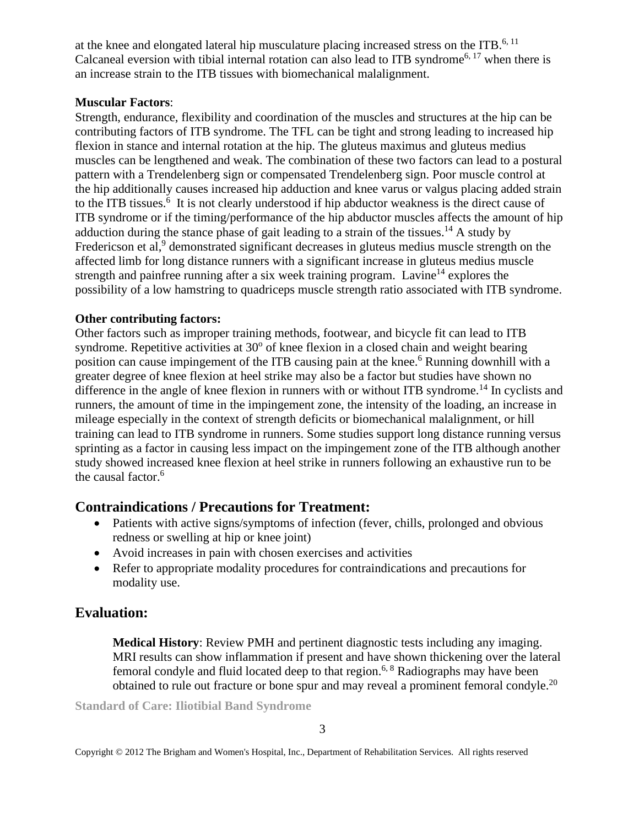at the knee and elongated lateral hip musculature placing increased stress on the ITB. $6, 11$ Calcaneal eversion with tibial internal rotation can also lead to ITB syndrome<sup>6, 17</sup> when there is an increase strain to the ITB tissues with biomechanical malalignment.

### **Muscular Factors**:

Strength, endurance, flexibility and coordination of the muscles and structures at the hip can be contributing factors of ITB syndrome. The TFL can be tight and strong leading to increased hip flexion in stance and internal rotation at the hip. The gluteus maximus and gluteus medius muscles can be lengthened and weak. The combination of these two factors can lead to a postural pattern with a Trendelenberg sign or compensated Trendelenberg sign. Poor muscle control at the hip additionally causes increased hip adduction and knee varus or valgus placing added strain to the ITB tissues.<sup>6</sup> It is not clearly understood if hip abductor weakness is the direct cause of ITB syndrome or if the timing/performance of the hip abductor muscles affects the amount of hip adduction during the stance phase of gait leading to a strain of the tissues.<sup>14</sup> A study by Fredericson et al,<sup>9</sup> demonstrated significant decreases in gluteus medius muscle strength on the affected limb for long distance runners with a significant increase in gluteus medius muscle strength and painfree running after a six week training program. Lavine<sup>14</sup> explores the possibility of a low hamstring to quadriceps muscle strength ratio associated with ITB syndrome.

### **Other contributing factors:**

Other factors such as improper training methods, footwear, and bicycle fit can lead to ITB syndrome. Repetitive activities at  $30^{\circ}$  of knee flexion in a closed chain and weight bearing position can cause impingement of the ITB causing pain at the knee.<sup>6</sup> Running downhill with a greater degree of knee flexion at heel strike may also be a factor but studies have shown no difference in the angle of knee flexion in runners with or without ITB syndrome.<sup>14</sup> In cyclists and runners, the amount of time in the impingement zone, the intensity of the loading, an increase in mileage especially in the context of strength deficits or biomechanical malalignment, or hill training can lead to ITB syndrome in runners. Some studies support long distance running versus sprinting as a factor in causing less impact on the impingement zone of the ITB although another study showed increased knee flexion at heel strike in runners following an exhaustive run to be the causal factor. 6

# **Contraindications / Precautions for Treatment:**

- Patients with active signs/symptoms of infection (fever, chills, prolonged and obvious redness or swelling at hip or knee joint)
- Avoid increases in pain with chosen exercises and activities
- Refer to appropriate modality procedures for contraindications and precautions for modality use.

# **Evaluation:**

**Medical History**: Review PMH and pertinent diagnostic tests including any imaging. MRI results can show inflammation if present and have shown thickening over the lateral femoral condyle and fluid located deep to that region.<sup>6, 8</sup> Radiographs may have been obtained to rule out fracture or bone spur and may reveal a prominent femoral condyle.<sup>20</sup>

**Standard of Care: Iliotibial Band Syndrome**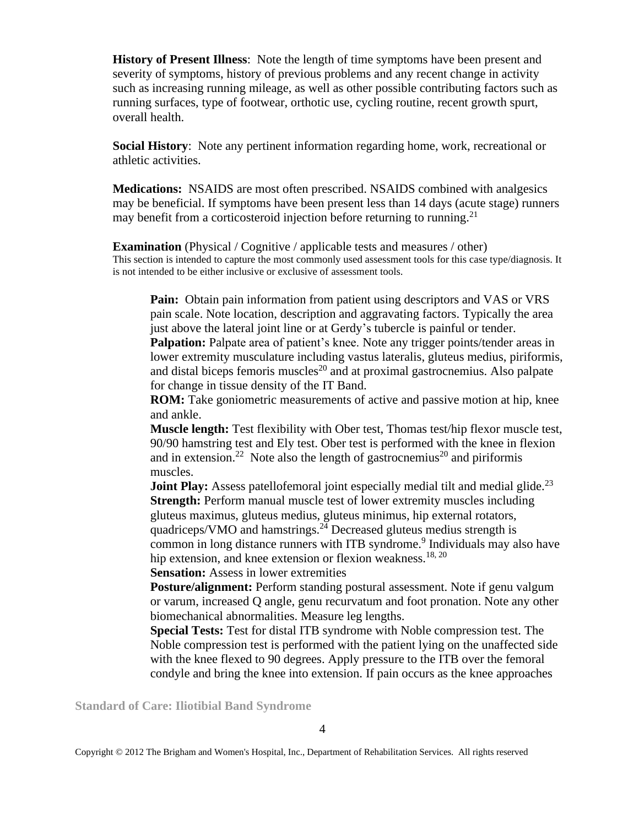**History of Present Illness**: Note the length of time symptoms have been present and severity of symptoms, history of previous problems and any recent change in activity such as increasing running mileage, as well as other possible contributing factors such as running surfaces, type of footwear, orthotic use, cycling routine, recent growth spurt, overall health.

**Social History**: Note any pertinent information regarding home, work, recreational or athletic activities.

**Medications:** NSAIDS are most often prescribed. NSAIDS combined with analgesics may be beneficial. If symptoms have been present less than 14 days (acute stage) runners may benefit from a corticosteroid injection before returning to running.<sup>21</sup>

**Examination** (Physical / Cognitive / applicable tests and measures / other) This section is intended to capture the most commonly used assessment tools for this case type/diagnosis. It is not intended to be either inclusive or exclusive of assessment tools.

**Pain:** Obtain pain information from patient using descriptors and VAS or VRS pain scale. Note location, description and aggravating factors. Typically the area just above the lateral joint line or at Gerdy's tubercle is painful or tender.

**Palpation:** Palpate area of patient's knee. Note any trigger points/tender areas in lower extremity musculature including vastus lateralis, gluteus medius, piriformis, and distal biceps femoris muscles<sup>20</sup> and at proximal gastrocnemius. Also palpate for change in tissue density of the IT Band.

**ROM:** Take goniometric measurements of active and passive motion at hip, knee and ankle.

**Muscle length:** Test flexibility with Ober test, Thomas test/hip flexor muscle test, 90/90 hamstring test and Ely test. Ober test is performed with the knee in flexion and in extension.<sup>22</sup> Note also the length of gastrocnemius<sup>20</sup> and piriformis muscles.

**Joint Play:** Assess patellofemoral joint especially medial tilt and medial glide.<sup>23</sup> **Strength:** Perform manual muscle test of lower extremity muscles including gluteus maximus, gluteus medius, gluteus minimus, hip external rotators, quadriceps/VMO and hamstrings.<sup>24</sup> Decreased gluteus medius strength is common in long distance runners with ITB syndrome.<sup>9</sup> Individuals may also have hip extension, and knee extension or flexion weakness.<sup>18, 20</sup>

**Sensation:** Assess in lower extremities

**Posture/alignment:** Perform standing postural assessment. Note if genu valgum or varum, increased Q angle, genu recurvatum and foot pronation. Note any other biomechanical abnormalities. Measure leg lengths.

**Special Tests:** Test for distal ITB syndrome with Noble compression test. The Noble compression test is performed with the patient lying on the unaffected side with the knee flexed to 90 degrees. Apply pressure to the ITB over the femoral condyle and bring the knee into extension. If pain occurs as the knee approaches

**Standard of Care: Iliotibial Band Syndrome**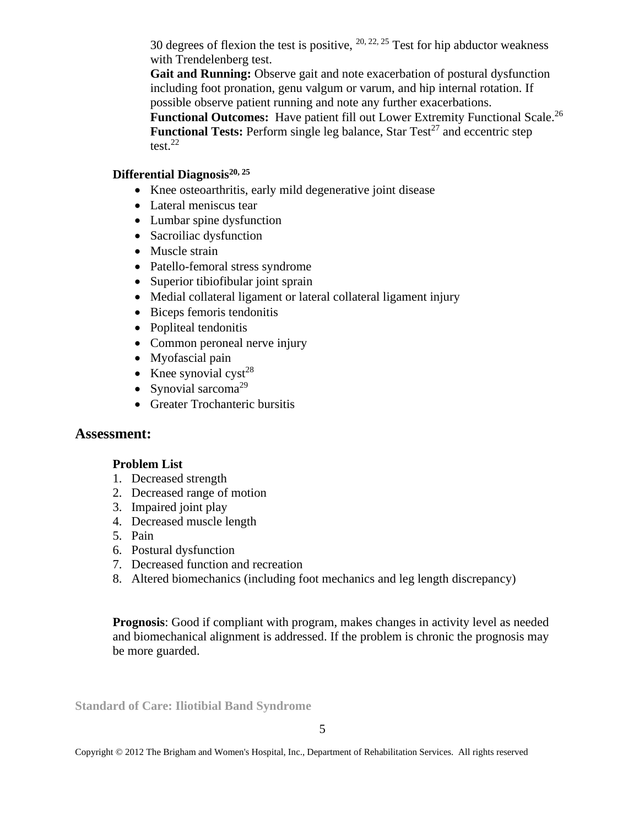30 degrees of flexion the test is positive,  $^{20, 22, 25}$  Test for hip abductor weakness with Trendelenberg test.

**Gait and Running:** Observe gait and note exacerbation of postural dysfunction including foot pronation, genu valgum or varum, and hip internal rotation. If possible observe patient running and note any further exacerbations.

Functional Outcomes: Have patient fill out Lower Extremity Functional Scale.<sup>26</sup> **Functional Tests:** Perform single leg balance, Star Test<sup>27</sup> and eccentric step test. 22

### **Differential Diagnosis20, 25**

- Knee osteoarthritis, early mild degenerative joint disease
- Lateral meniscus tear
- Lumbar spine dysfunction
- Sacroiliac dysfunction
- Muscle strain
- Patello-femoral stress syndrome
- Superior tibiofibular joint sprain
- Medial collateral ligament or lateral collateral ligament injury
- Biceps femoris tendonitis
- Popliteal tendonitis
- Common peroneal nerve injury
- Myofascial pain
- Knee synovial cyst<sup>28</sup>
- Synovial sarcoma<sup>29</sup>
- Greater Trochanteric bursitis

## **Assessment:**

#### **Problem List**

- 1. Decreased strength
- 2. Decreased range of motion
- 3. Impaired joint play
- 4. Decreased muscle length
- 5. Pain
- 6. Postural dysfunction
- 7. Decreased function and recreation
- 8. Altered biomechanics (including foot mechanics and leg length discrepancy)

**Prognosis**: Good if compliant with program, makes changes in activity level as needed and biomechanical alignment is addressed. If the problem is chronic the prognosis may be more guarded.

**Standard of Care: Iliotibial Band Syndrome**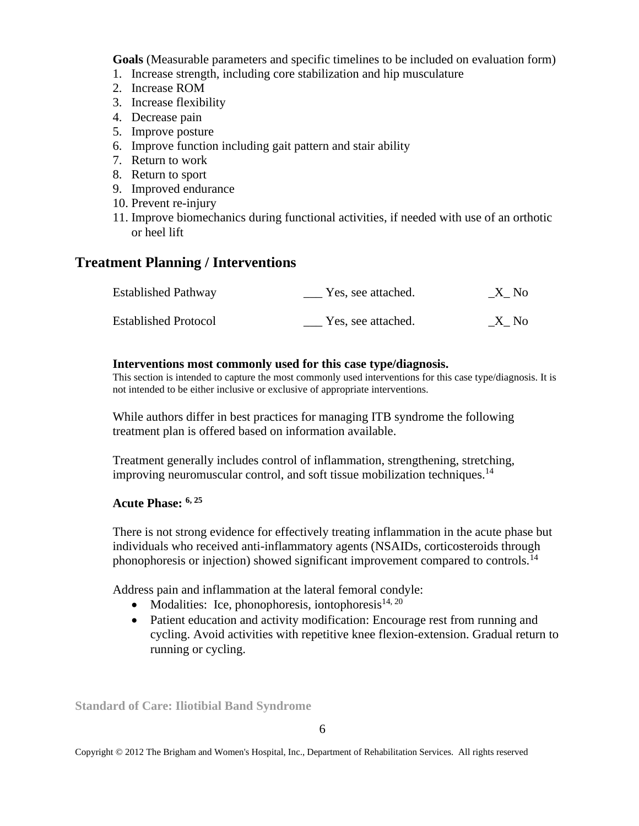**Goals** (Measurable parameters and specific timelines to be included on evaluation form)

- 1. Increase strength, including core stabilization and hip musculature
- 2. Increase ROM
- 3. Increase flexibility
- 4. Decrease pain
- 5. Improve posture
- 6. Improve function including gait pattern and stair ability
- 7. Return to work
- 8. Return to sport
- 9. Improved endurance
- 10. Prevent re-injury
- 11. Improve biomechanics during functional activities, if needed with use of an orthotic or heel lift

# **Treatment Planning / Interventions**

| <b>Established Pathway</b>  | Yes, see attached. | X No |
|-----------------------------|--------------------|------|
| <b>Established Protocol</b> | Yes, see attached. | X No |

#### **Interventions most commonly used for this case type/diagnosis.**

This section is intended to capture the most commonly used interventions for this case type/diagnosis. It is not intended to be either inclusive or exclusive of appropriate interventions.

While authors differ in best practices for managing ITB syndrome the following treatment plan is offered based on information available.

Treatment generally includes control of inflammation, strengthening, stretching, improving neuromuscular control, and soft tissue mobilization techniques.<sup>14</sup>

#### **Acute Phase: 6, 25**

There is not strong evidence for effectively treating inflammation in the acute phase but individuals who received anti-inflammatory agents (NSAIDs, corticosteroids through phonophoresis or injection) showed significant improvement compared to controls.<sup>14</sup>

Address pain and inflammation at the lateral femoral condyle:

- Modalities: Ice, phonophoresis, iontophoresis $1^{4,20}$
- Patient education and activity modification: Encourage rest from running and cycling. Avoid activities with repetitive knee flexion-extension. Gradual return to running or cycling.

**Standard of Care: Iliotibial Band Syndrome**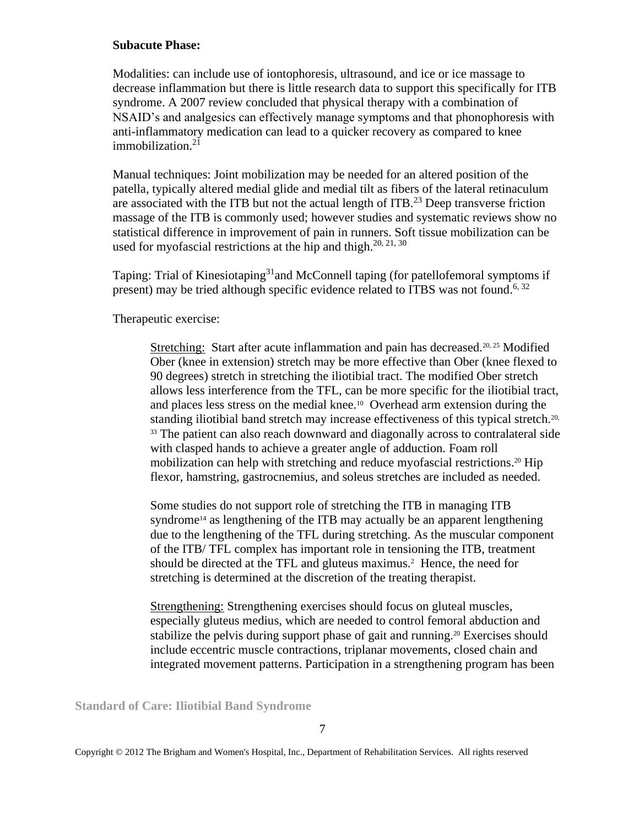#### **Subacute Phase:**

Modalities: can include use of iontophoresis, ultrasound, and ice or ice massage to decrease inflammation but there is little research data to support this specifically for ITB syndrome. A 2007 review concluded that physical therapy with a combination of NSAID's and analgesics can effectively manage symptoms and that phonophoresis with anti-inflammatory medication can lead to a quicker recovery as compared to knee immobilization. $21$ 

Manual techniques: Joint mobilization may be needed for an altered position of the patella, typically altered medial glide and medial tilt as fibers of the lateral retinaculum are associated with the ITB but not the actual length of  $ITB<sup>23</sup>$  Deep transverse friction massage of the ITB is commonly used; however studies and systematic reviews show no statistical difference in improvement of pain in runners. Soft tissue mobilization can be used for myofascial restrictions at the hip and thigh.<sup>20, 21, 30</sup>

Taping: Trial of Kinesiotaping<sup>31</sup>and McConnell taping (for patellofemoral symptoms if present) may be tried although specific evidence related to ITBS was not found.<sup>6, 32</sup>

Therapeutic exercise:

Stretching: Start after acute inflammation and pain has decreased.<sup>20, 25</sup> Modified Ober (knee in extension) stretch may be more effective than Ober (knee flexed to 90 degrees) stretch in stretching the iliotibial tract. The modified Ober stretch allows less interference from the TFL, can be more specific for the iliotibial tract, and places less stress on the medial knee.<sup>10</sup> Overhead arm extension during the standing iliotibial band stretch may increase effectiveness of this typical stretch.<sup>20,</sup> <sup>33</sup> The patient can also reach downward and diagonally across to contralateral side with clasped hands to achieve a greater angle of adduction. Foam roll mobilization can help with stretching and reduce myofascial restrictions.<sup>20</sup> Hip flexor, hamstring, gastrocnemius, and soleus stretches are included as needed.

Some studies do not support role of stretching the ITB in managing ITB syndrome<sup>14</sup> as lengthening of the ITB may actually be an apparent lengthening due to the lengthening of the TFL during stretching. As the muscular component of the ITB/ TFL complex has important role in tensioning the ITB, treatment should be directed at the TFL and gluteus maximus.<sup>2</sup> Hence, the need for stretching is determined at the discretion of the treating therapist.

Strengthening: Strengthening exercises should focus on gluteal muscles, especially gluteus medius, which are needed to control femoral abduction and stabilize the pelvis during support phase of gait and running.<sup>20</sup> Exercises should include eccentric muscle contractions, triplanar movements, closed chain and integrated movement patterns. Participation in a strengthening program has been

**Standard of Care: Iliotibial Band Syndrome**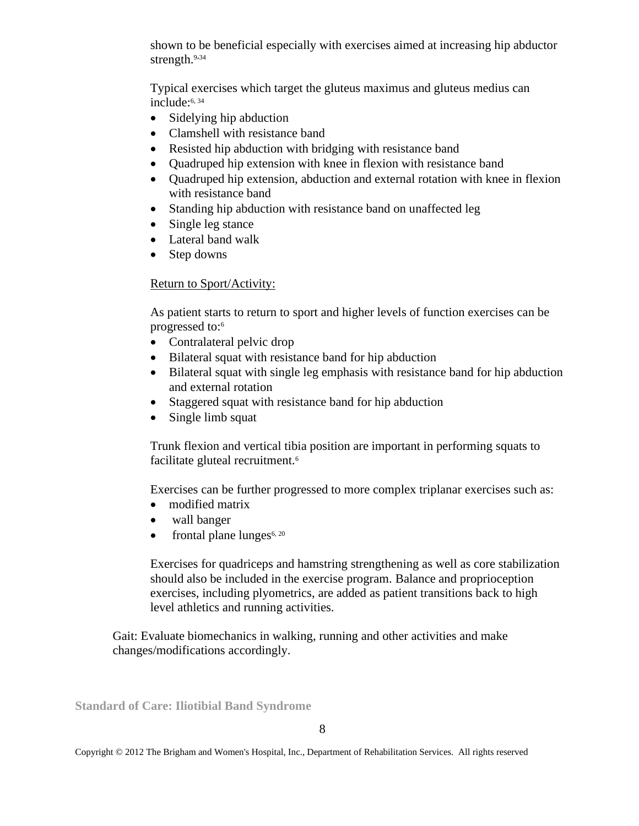shown to be beneficial especially with exercises aimed at increasing hip abductor strength.<sup>9,34</sup>

Typical exercises which target the gluteus maximus and gluteus medius can include: 6, 34

- Sidelying hip abduction
- Clamshell with resistance band
- Resisted hip abduction with bridging with resistance band
- Quadruped hip extension with knee in flexion with resistance band
- Ouadruped hip extension, abduction and external rotation with knee in flexion with resistance band
- Standing hip abduction with resistance band on unaffected leg
- Single leg stance
- Lateral band walk
- Step downs

#### Return to Sport/Activity:

As patient starts to return to sport and higher levels of function exercises can be progressed to: 6

- Contralateral pelvic drop
- Bilateral squat with resistance band for hip abduction
- Bilateral squat with single leg emphasis with resistance band for hip abduction and external rotation
- Staggered squat with resistance band for hip abduction
- Single limb squat

Trunk flexion and vertical tibia position are important in performing squats to facilitate gluteal recruitment.<sup>6</sup>

Exercises can be further progressed to more complex triplanar exercises such as:

- modified matrix
- wall banger
- frontal plane lunges $6, 20$

Exercises for quadriceps and hamstring strengthening as well as core stabilization should also be included in the exercise program. Balance and proprioception exercises, including plyometrics, are added as patient transitions back to high level athletics and running activities.

Gait: Evaluate biomechanics in walking, running and other activities and make changes/modifications accordingly.

**Standard of Care: Iliotibial Band Syndrome**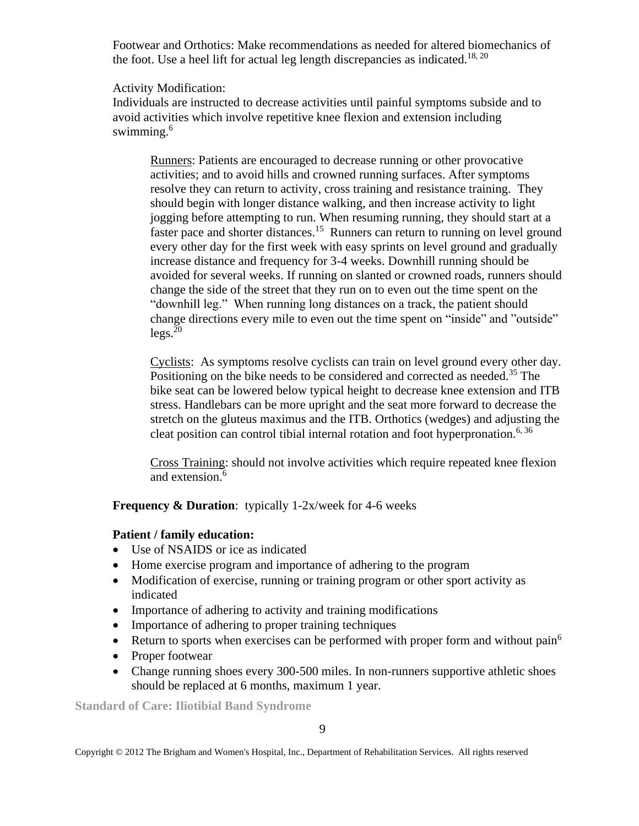Footwear and Orthotics: Make recommendations as needed for altered biomechanics of the foot. Use a heel lift for actual leg length discrepancies as indicated.<sup>18, 20</sup>

#### Activity Modification:

Individuals are instructed to decrease activities until painful symptoms subside and to avoid activities which involve repetitive knee flexion and extension including swimming.<sup>6</sup>

Runners: Patients are encouraged to decrease running or other provocative activities; and to avoid hills and crowned running surfaces. After symptoms resolve they can return to activity, cross training and resistance training. They should begin with longer distance walking, and then increase activity to light jogging before attempting to run. When resuming running, they should start at a faster pace and shorter distances.<sup>15</sup> Runners can return to running on level ground every other day for the first week with easy sprints on level ground and gradually increase distance and frequency for 3-4 weeks. Downhill running should be avoided for several weeks. If running on slanted or crowned roads, runners should change the side of the street that they run on to even out the time spent on the "downhill leg." When running long distances on a track, the patient should change directions every mile to even out the time spent on "inside" and "outside"  $legs.<sup>20</sup>$ 

Cyclists: As symptoms resolve cyclists can train on level ground every other day. Positioning on the bike needs to be considered and corrected as needed.<sup>35</sup> The bike seat can be lowered below typical height to decrease knee extension and ITB stress. Handlebars can be more upright and the seat more forward to decrease the stretch on the gluteus maximus and the ITB. Orthotics (wedges) and adjusting the cleat position can control tibial internal rotation and foot hyperpronation.<sup>6, 36</sup>

Cross Training: should not involve activities which require repeated knee flexion and extension. 6

**Frequency & Duration**: typically 1-2x/week for 4-6 weeks

## **Patient / family education:**

- Use of NSAIDS or ice as indicated
- Home exercise program and importance of adhering to the program
- Modification of exercise, running or training program or other sport activity as indicated
- Importance of adhering to activity and training modifications
- Importance of adhering to proper training techniques
- Return to sports when exercises can be performed with proper form and without pain<sup>6</sup>
- Proper footwear
- Change running shoes every 300-500 miles. In non-runners supportive athletic shoes should be replaced at 6 months, maximum 1 year.

**Standard of Care: Iliotibial Band Syndrome**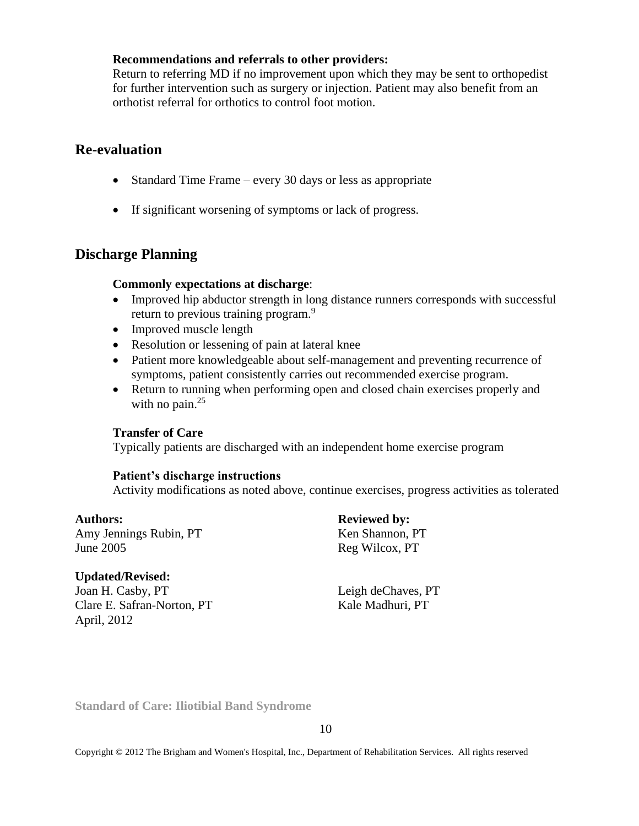#### **Recommendations and referrals to other providers:**

Return to referring MD if no improvement upon which they may be sent to orthopedist for further intervention such as surgery or injection. Patient may also benefit from an orthotist referral for orthotics to control foot motion.

## **Re-evaluation**

- Standard Time Frame every 30 days or less as appropriate
- If significant worsening of symptoms or lack of progress.

## **Discharge Planning**

#### **Commonly expectations at discharge**:

- Improved hip abductor strength in long distance runners corresponds with successful return to previous training program.<sup>9</sup>
- Improved muscle length
- Resolution or lessening of pain at lateral knee
- Patient more knowledgeable about self-management and preventing recurrence of symptoms, patient consistently carries out recommended exercise program.
- Return to running when performing open and closed chain exercises properly and with no pain. $25$

#### **Transfer of Care**

Typically patients are discharged with an independent home exercise program

#### **Patient's discharge instructions**

Activity modifications as noted above, continue exercises, progress activities as tolerated

Amy Jennings Rubin, PT Ken Shannon, PT June 2005 Reg Wilcox, PT

#### **Updated/Revised:**

Joan H. Casby, PT Leigh deChaves, PT Clare E. Safran-Norton, PT Kale Madhuri, PT April, 2012

Authors: **Reviewed by: Reviewed by:** 

**Standard of Care: Iliotibial Band Syndrome**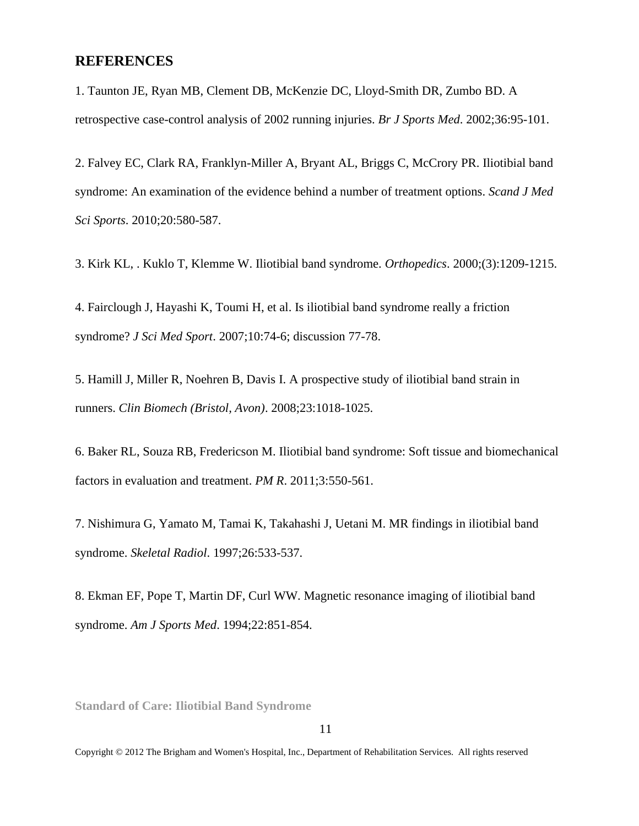## **REFERENCES**

1. Taunton JE, Ryan MB, Clement DB, McKenzie DC, Lloyd-Smith DR, Zumbo BD. A retrospective case-control analysis of 2002 running injuries. *Br J Sports Med*. 2002;36:95-101.

2. Falvey EC, Clark RA, Franklyn-Miller A, Bryant AL, Briggs C, McCrory PR. Iliotibial band syndrome: An examination of the evidence behind a number of treatment options. *Scand J Med Sci Sports*. 2010;20:580-587.

3. Kirk KL, . Kuklo T, Klemme W. Iliotibial band syndrome. *Orthopedics*. 2000;(3):1209-1215.

4. Fairclough J, Hayashi K, Toumi H, et al. Is iliotibial band syndrome really a friction syndrome? *J Sci Med Sport*. 2007;10:74-6; discussion 77-78.

5. Hamill J, Miller R, Noehren B, Davis I. A prospective study of iliotibial band strain in runners. *Clin Biomech (Bristol, Avon)*. 2008;23:1018-1025.

6. Baker RL, Souza RB, Fredericson M. Iliotibial band syndrome: Soft tissue and biomechanical factors in evaluation and treatment. *PM R*. 2011;3:550-561.

7. Nishimura G, Yamato M, Tamai K, Takahashi J, Uetani M. MR findings in iliotibial band syndrome. *Skeletal Radiol*. 1997;26:533-537.

8. Ekman EF, Pope T, Martin DF, Curl WW. Magnetic resonance imaging of iliotibial band syndrome. *Am J Sports Med*. 1994;22:851-854.

**Standard of Care: Iliotibial Band Syndrome**

11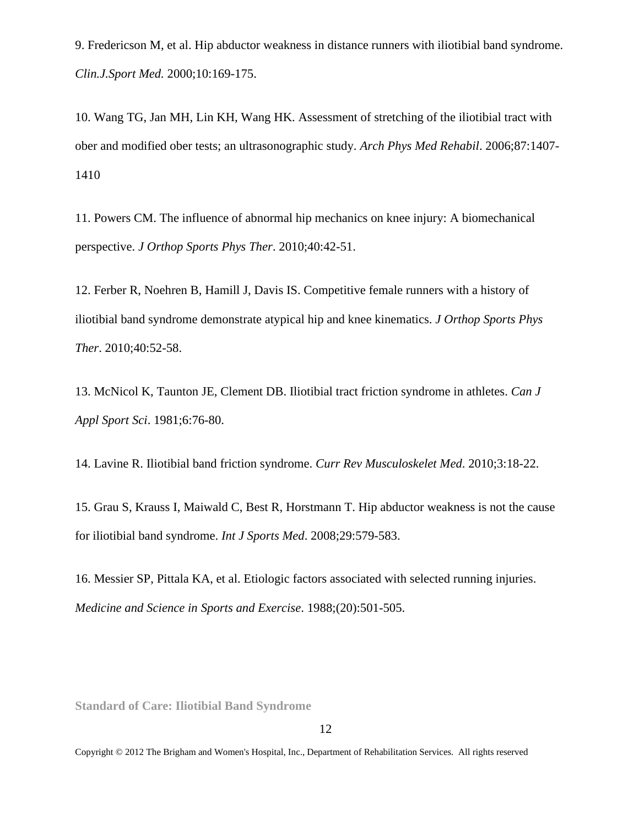9. Fredericson M, et al. Hip abductor weakness in distance runners with iliotibial band syndrome. *Clin.J.Sport Med.* 2000;10:169-175.

10. Wang TG, Jan MH, Lin KH, Wang HK. Assessment of stretching of the iliotibial tract with ober and modified ober tests; an ultrasonographic study. *Arch Phys Med Rehabil*. 2006;87:1407- 1410

11. Powers CM. The influence of abnormal hip mechanics on knee injury: A biomechanical perspective. *J Orthop Sports Phys Ther*. 2010;40:42-51.

12. Ferber R, Noehren B, Hamill J, Davis IS. Competitive female runners with a history of iliotibial band syndrome demonstrate atypical hip and knee kinematics. *J Orthop Sports Phys Ther*. 2010;40:52-58.

13. McNicol K, Taunton JE, Clement DB. Iliotibial tract friction syndrome in athletes. *Can J Appl Sport Sci*. 1981;6:76-80.

14. Lavine R. Iliotibial band friction syndrome. *Curr Rev Musculoskelet Med*. 2010;3:18-22.

15. Grau S, Krauss I, Maiwald C, Best R, Horstmann T. Hip abductor weakness is not the cause for iliotibial band syndrome. *Int J Sports Med*. 2008;29:579-583.

16. Messier SP, Pittala KA, et al. Etiologic factors associated with selected running injuries. *Medicine and Science in Sports and Exercise*. 1988;(20):501-505.

**Standard of Care: Iliotibial Band Syndrome**

12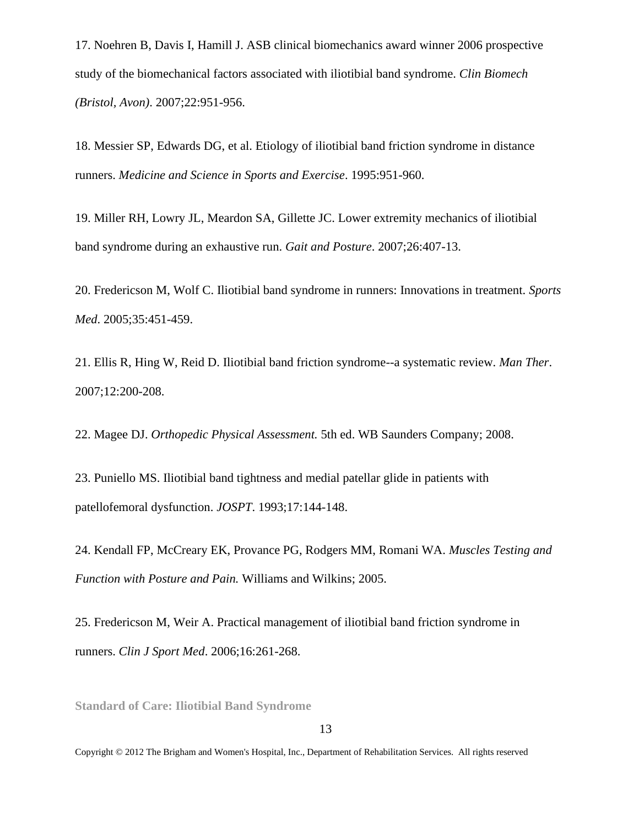17. Noehren B, Davis I, Hamill J. ASB clinical biomechanics award winner 2006 prospective study of the biomechanical factors associated with iliotibial band syndrome. *Clin Biomech (Bristol, Avon)*. 2007;22:951-956.

18. Messier SP, Edwards DG, et al. Etiology of iliotibial band friction syndrome in distance runners. *Medicine and Science in Sports and Exercise*. 1995:951-960.

19. Miller RH, Lowry JL, Meardon SA, Gillette JC. Lower extremity mechanics of iliotibial band syndrome during an exhaustive run. *Gait and Posture*. 2007;26:407-13.

20. Fredericson M, Wolf C. Iliotibial band syndrome in runners: Innovations in treatment. *Sports Med*. 2005;35:451-459.

21. Ellis R, Hing W, Reid D. Iliotibial band friction syndrome--a systematic review. *Man Ther*. 2007;12:200-208.

22. Magee DJ. *Orthopedic Physical Assessment.* 5th ed. WB Saunders Company; 2008.

23. Puniello MS. Iliotibial band tightness and medial patellar glide in patients with patellofemoral dysfunction. *JOSPT*. 1993;17:144-148.

24. Kendall FP, McCreary EK, Provance PG, Rodgers MM, Romani WA. *Muscles Testing and Function with Posture and Pain.* Williams and Wilkins; 2005.

25. Fredericson M, Weir A. Practical management of iliotibial band friction syndrome in runners. *Clin J Sport Med*. 2006;16:261-268.

**Standard of Care: Iliotibial Band Syndrome**

13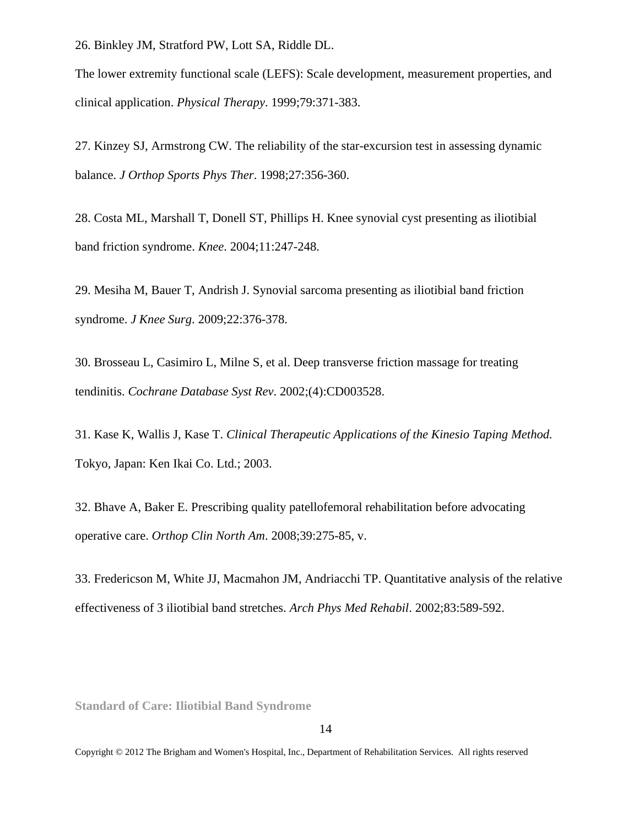26. Binkley JM, Stratford PW, Lott SA, Riddle DL.

The lower extremity functional scale (LEFS): Scale development, measurement properties, and clinical application. *Physical Therapy*. 1999;79:371-383.

27. Kinzey SJ, Armstrong CW. The reliability of the star-excursion test in assessing dynamic balance. *J Orthop Sports Phys Ther*. 1998;27:356-360.

28. Costa ML, Marshall T, Donell ST, Phillips H. Knee synovial cyst presenting as iliotibial band friction syndrome. *Knee*. 2004;11:247-248.

29. Mesiha M, Bauer T, Andrish J. Synovial sarcoma presenting as iliotibial band friction syndrome. *J Knee Surg*. 2009;22:376-378.

30. Brosseau L, Casimiro L, Milne S, et al. Deep transverse friction massage for treating tendinitis. *Cochrane Database Syst Rev*. 2002;(4):CD003528.

31. Kase K, Wallis J, Kase T. *Clinical Therapeutic Applications of the Kinesio Taping Method.*  Tokyo, Japan: Ken Ikai Co. Ltd.; 2003.

32. Bhave A, Baker E. Prescribing quality patellofemoral rehabilitation before advocating operative care. *Orthop Clin North Am*. 2008;39:275-85, v.

33. Fredericson M, White JJ, Macmahon JM, Andriacchi TP. Quantitative analysis of the relative effectiveness of 3 iliotibial band stretches. *Arch Phys Med Rehabil*. 2002;83:589-592.

**Standard of Care: Iliotibial Band Syndrome**

14